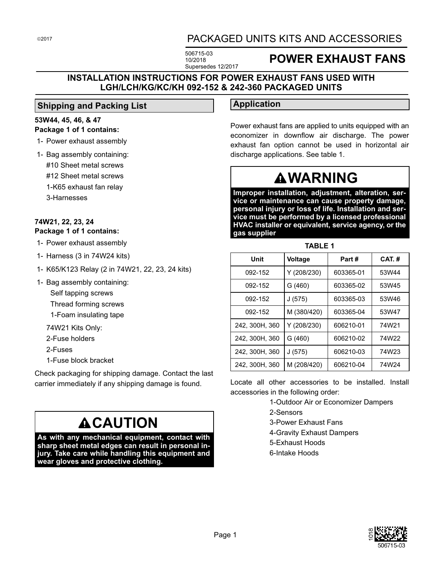# PACKAGED UNITS KITS AND ACCESSORIES

506715-03 10/2018 Supersedes 12/2017

# **POWER EXHAUST FANS**

### **INSTALLATION INSTRUCTIONS FOR POWER EXHAUST FANS USED WITH LGH/LCH/KG/KC/KH 092-152 & 242-360 PACKAGED UNITS**

### **Shipping and Packing List**

#### **53W44, 45, 46, & 47 Package 1 of 1 contains:**

- 1- Power exhaust assembly
- 1- Bag assembly containing: #10 Sheet metal screws #12 Sheet metal screws
	- 1-K65 exhaust fan relay
	- 3-Harnesses

#### **74W21, 22, 23, 24 Package 1 of 1 contains:**

- 1- Power exhaust assembly
- 1- Harness (3 in 74W24 kits)
- 1- K65/K123 Relay (2 in 74W21, 22, 23, 24 kits)
- 1- Bag assembly containing:
	- Self tapping screws
	- Thread forming screws
	- 1-Foam insulating tape
	- 74W21 Kits Only:
	- 2-Fuse holders
	- 2-Fuses
	- 1-Fuse block bracket

Check packaging for shipping damage. Contact the last carrier immediately if any shipping damage is found.

# **ACAUTION**

**As with any mechanical equipment, contact with sharp sheet metal edges can result in personal injury. Take care while handling this equipment and wear gloves and protective clothing.**

# **Application**

Power exhaust fans are applied to units equipped with an economizer in downflow air discharge. The power exhaust fan option cannot be used in horizontal air discharge applications. See table 1.

# **WARNING**

**Improper installation, adjustment, alteration, service or maintenance can cause property damage, personal injury or loss of life. Installation and service must be performed by a licensed professional HVAC installer or equivalent, service agency, or the gas supplier**

**TABLE 1**

| .              |                |           |       |  |
|----------------|----------------|-----------|-------|--|
| Unit           | <b>Voltage</b> | Part#     | CAT.# |  |
| 092-152        | Y (208/230)    | 603365-01 | 53W44 |  |
| 092-152        | G (460)        | 603365-02 | 53W45 |  |
| 092-152        | J(575)         | 603365-03 | 53W46 |  |
| 092-152        | M (380/420)    | 603365-04 | 53W47 |  |
| 242, 300H, 360 | Y (208/230)    | 606210-01 | 74W21 |  |
| 242, 300H, 360 | G (460)        | 606210-02 | 74W22 |  |
| 242, 300H, 360 | J(575)         | 606210-03 | 74W23 |  |
| 242, 300H, 360 | M (208/420)    | 606210-04 | 74W24 |  |

Locate all other accessories to be installed. Install accessories in the following order:

1-Outdoor Air or Economizer Dampers

- 2-Sensors
- 3-Power Exhaust Fans
- 4-Gravity Exhaust Dampers
- 5-Exhaust Hoods
- 6-Intake Hoods



©2017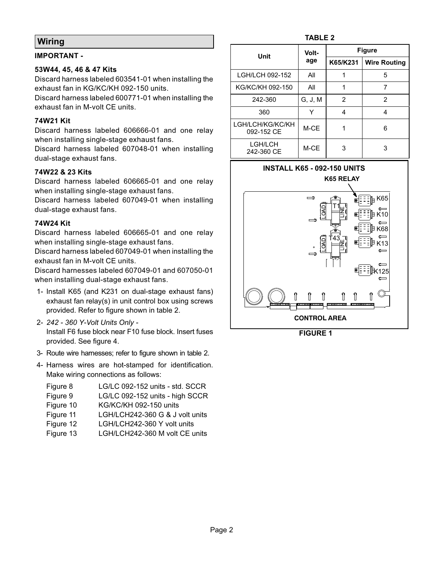# **Wiring**

#### **IMPORTANT -**

#### **53W44, 45, 46 & 47 Kits**

Discard harness labeled 603541-01 when installing the exhaust fan in KG/KC/KH 092-150 units.

Discard harness labeled 600771-01 when installing the exhaust fan in M-volt CE units.

#### **74W21 Kit**

Discard harness labeled 606666-01 and one relay when installing single-stage exhaust fans.

Discard harness labeled 607048-01 when installing dual-stage exhaust fans.

#### **74W22 & 23 Kits**

Discard harness labeled 606665-01 and one relay when installing single-stage exhaust fans.

Discard harness labeled 607049-01 when installing dual-stage exhaust fans.

#### **74W24 Kit**

Discard harness labeled 606665-01 and one relay when installing single-stage exhaust fans.

Discard harness labeled 607049-01 when installing the exhaust fan in M-volt CE units.

Discard harnesses labeled 607049-01 and 607050-01 when installing dual-stage exhaust fans.

- 1- Install K65 (and K231 on dual-stage exhaust fans) exhaust fan relay(s) in unit control box using screws provided. Refer to figure shown in table 2.
- 2- *242 360 Y-Volt Units Only -* Install F6 fuse block near F10 fuse block. Insert fuses provided. See figure [4.](#page-3-0)
- 3- Route wire harnesses; refer to figure shown in table 2.
- 4- Harness wires are hot-stamped for identification. Make wiring connections as follows:

| Figure 8  | LG/LC 092-152 units - std. SCCR |
|-----------|---------------------------------|
| Figure 9  | LG/LC 092-152 units - high SCCR |
| Figure 10 | <b>KG/KC/KH 092-150 units</b>   |
| Figure 11 | LGH/LCH242-360 G & J volt units |
| Figure 12 | LGH/LCH242-360 Y volt units     |
| Figure 13 | LGH/LCH242-360 M volt CE units  |

| Unit                           | Volt-<br>age | <b>Figure</b> |                     |
|--------------------------------|--------------|---------------|---------------------|
|                                |              | K65/K231      | <b>Wire Routing</b> |
| LGH/LCH 092-152                | All          |               | 5                   |
| KG/KC/KH 092-150               | All          |               |                     |
| 242-360                        | G, J, M      | 2             | 2                   |
| 360                            |              | 4             | 4                   |
| LGH/LCH/KG/KC/KH<br>092-152 CE | M-CE         |               | 6                   |
| LGH/LCH<br>242-360 CE          | M-CE         | 3             | 3                   |

**TABLE 2**



**FIGURE 1**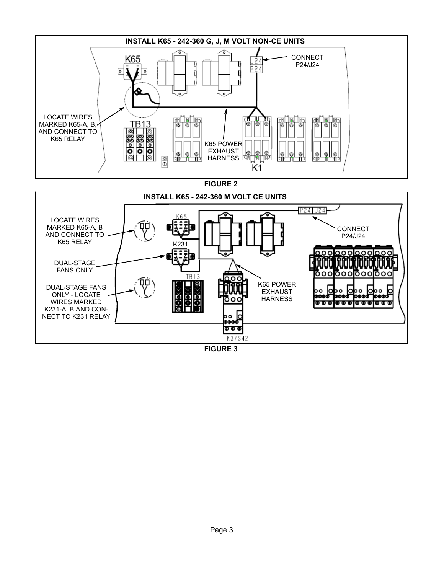<span id="page-2-0"></span>

**FIGURE 3**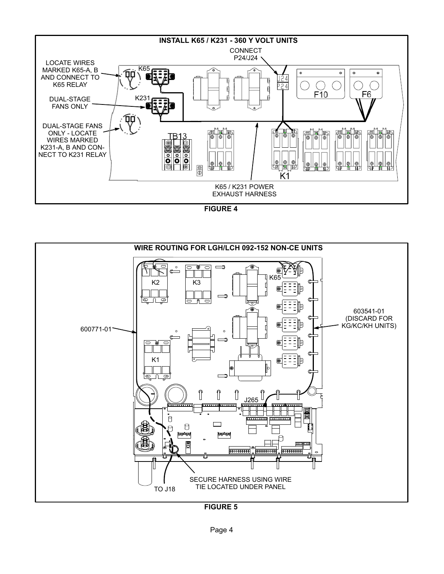<span id="page-3-0"></span>

**FIGURE 4**



**FIGURE 5**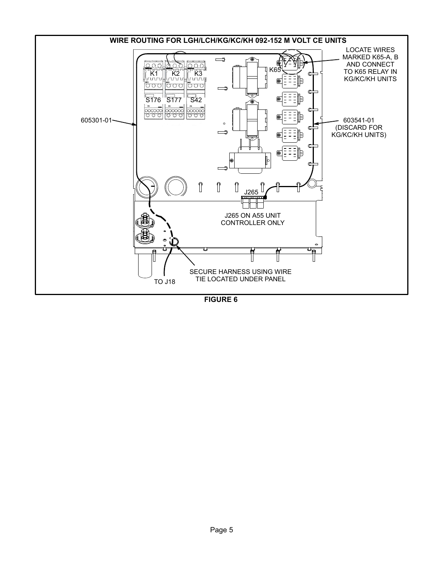<span id="page-4-0"></span>

**FIGURE 6**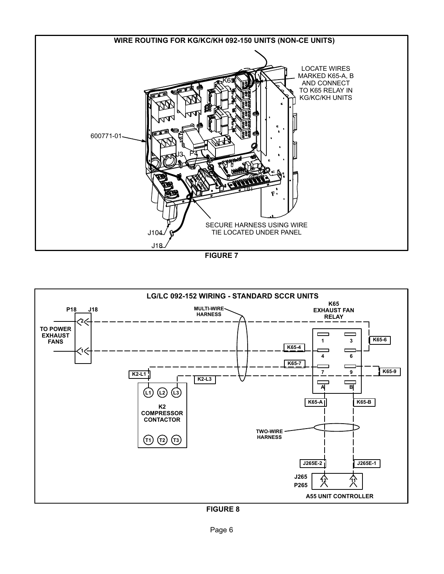<span id="page-5-0"></span>



**FIGURE 8**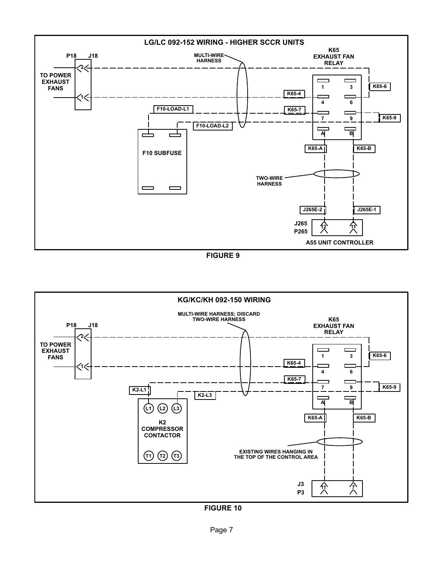<span id="page-6-0"></span>

**FIGURE 9**



**FIGURE 10**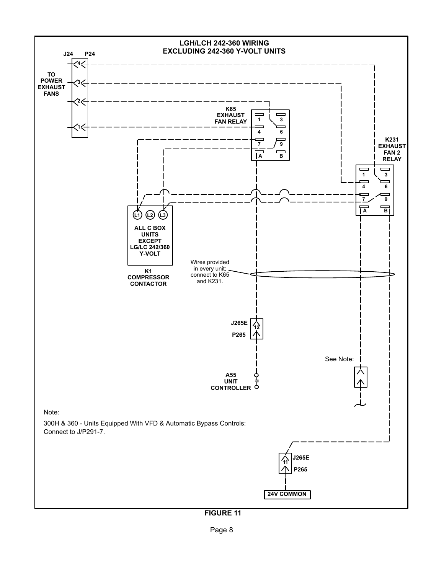<span id="page-7-0"></span>

**FIGURE 11**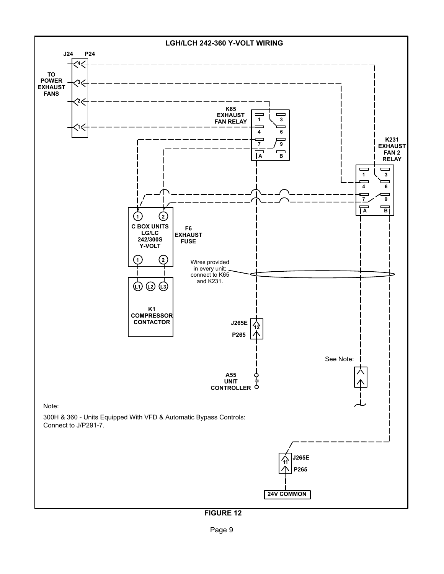<span id="page-8-0"></span>

**FIGURE 12**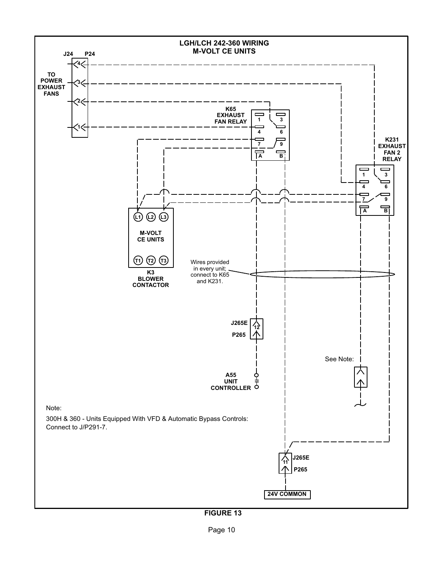<span id="page-9-0"></span>

**FIGURE 13**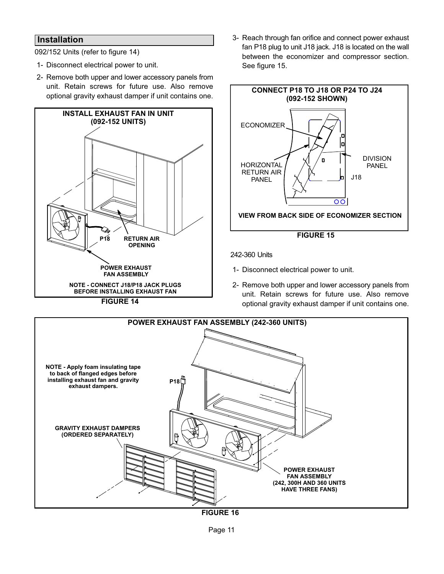## <span id="page-10-0"></span>**Installation**

092/152 Units (refer to figure 14)

- 1- Disconnect electrical power to unit.
- 2- Remove both upper and lower accessory panels from unit. Retain screws for future use. Also remove optional gravity exhaust damper if unit contains one.



**FIGURE 14**

 3- Reach through fan orifice and connect power exhaust fan P18 plug to unit J18 jack. J18 is located on the wall between the economizer and compressor section. See figure 15.



242-360 Units

- 1- Disconnect electrical power to unit.
- 2- Remove both upper and lower accessory panels from unit. Retain screws for future use. Also remove optional gravity exhaust damper if unit contains one.